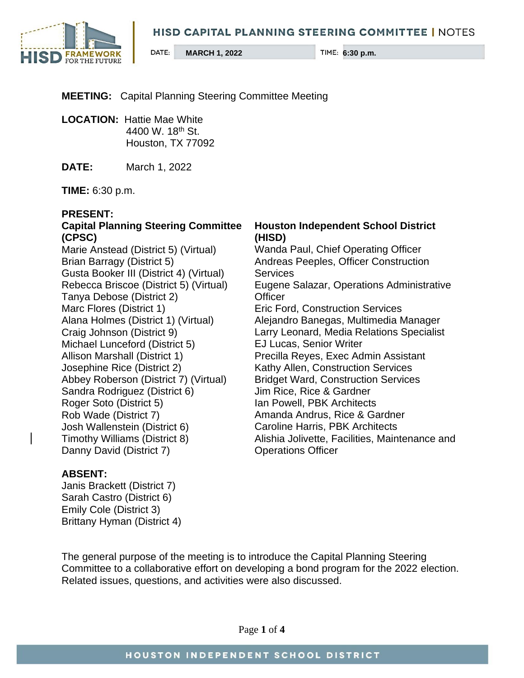#### **HISD CAPITAL PLANNING STEERING COMMITTEE | NOTES**



**MEETING:** Capital Planning Steering Committee Meeting

**LOCATION:** Hattie Mae White 4400 W. 18th St. Houston, TX 77092

**DATE:** March 1, 2022

**TIME:** 6:30 p.m.

#### **PRESENT:**

# **Capital Planning Steering Committee (CPSC)**

Marie Anstead (District 5) (Virtual) Brian Barragy (District 5) Gusta Booker III (District 4) (Virtual) Rebecca Briscoe (District 5) (Virtual) Tanya Debose (District 2) Marc Flores (District 1) Alana Holmes (District 1) (Virtual) Craig Johnson (District 9) Michael Lunceford (District 5) Allison Marshall (District 1) Josephine Rice (District 2) Abbey Roberson (District 7) (Virtual) Sandra Rodriguez (District 6) Roger Soto (District 5) Rob Wade (District 7) Josh Wallenstein (District 6) Timothy Williams (District 8) Danny David (District 7)

#### **Houston Independent School District (HISD)**

Wanda Paul, Chief Operating Officer Andreas Peeples, Officer Construction **Services** Eugene Salazar, Operations Administrative **Officer** Eric Ford, Construction Services Alejandro Banegas, Multimedia Manager Larry Leonard, Media Relations Specialist EJ Lucas, Senior Writer Precilla Reyes, Exec Admin Assistant Kathy Allen, Construction Services Bridget Ward, Construction Services Jim Rice, Rice & Gardner Ian Powell, PBK Architects Amanda Andrus, Rice & Gardner Caroline Harris, PBK Architects Alishia Jolivette, Facilities, Maintenance and Operations Officer

### **ABSENT:**

Janis Brackett (District 7) Sarah Castro (District 6) Emily Cole (District 3) Brittany Hyman (District 4)

The general purpose of the meeting is to introduce the Capital Planning Steering Committee to a collaborative effort on developing a bond program for the 2022 election. Related issues, questions, and activities were also discussed.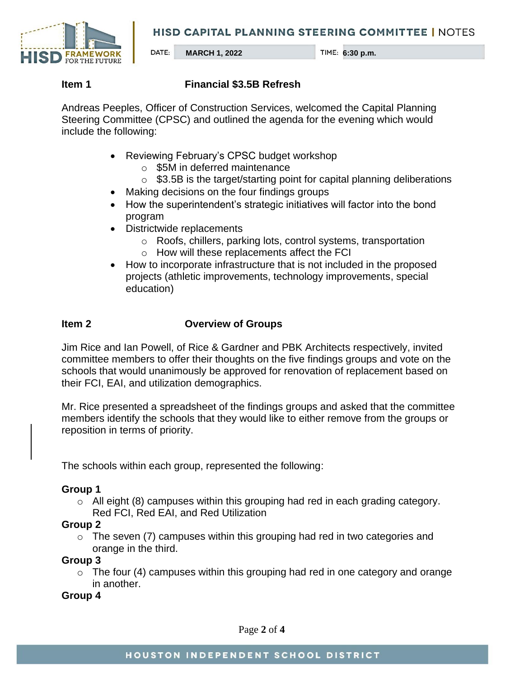**HISD CAPITAL PLANNING STEERING COMMITTEE | NOTES** 



## **Item 1 Financial \$3.5B Refresh**

Andreas Peeples, Officer of Construction Services, welcomed the Capital Planning Steering Committee (CPSC) and outlined the agenda for the evening which would include the following:

- Reviewing February's CPSC budget workshop
	- o \$5M in deferred maintenance
	- $\circ$  \$3.5B is the target/starting point for capital planning deliberations
- Making decisions on the four findings groups
- How the superintendent's strategic initiatives will factor into the bond program
- Districtwide replacements
	- o Roofs, chillers, parking lots, control systems, transportation
	- o How will these replacements affect the FCI
- How to incorporate infrastructure that is not included in the proposed projects (athletic improvements, technology improvements, special education)

# **Item 2 Overview of Groups**

Jim Rice and Ian Powell, of Rice & Gardner and PBK Architects respectively, invited committee members to offer their thoughts on the five findings groups and vote on the schools that would unanimously be approved for renovation of replacement based on their FCI, EAI, and utilization demographics.

Mr. Rice presented a spreadsheet of the findings groups and asked that the committee members identify the schools that they would like to either remove from the groups or reposition in terms of priority.

The schools within each group, represented the following:

### **Group 1**

 $\circ$  All eight (8) campuses within this grouping had red in each grading category. Red FCI, Red EAI, and Red Utilization

# **Group 2**

 $\circ$  The seven (7) campuses within this grouping had red in two categories and orange in the third.

### **Group 3**

 $\circ$  The four (4) campuses within this grouping had red in one category and orange in another.

**Group 4**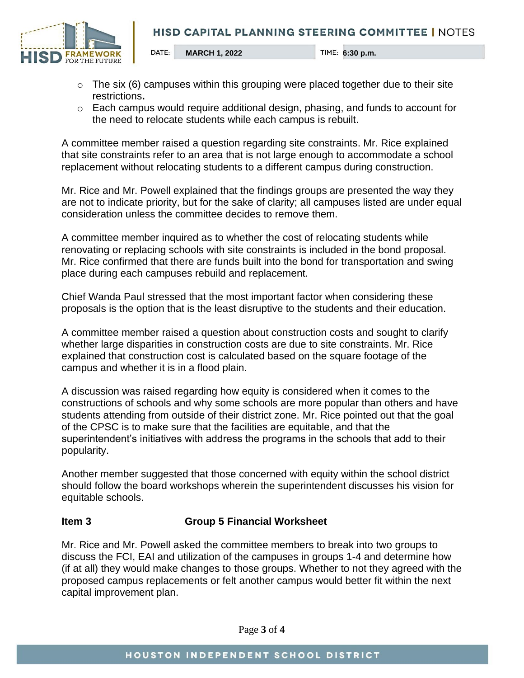

- $\circ$  The six (6) campuses within this grouping were placed together due to their site restrictions**.**
- o Each campus would require additional design, phasing, and funds to account for the need to relocate students while each campus is rebuilt.

A committee member raised a question regarding site constraints. Mr. Rice explained that site constraints refer to an area that is not large enough to accommodate a school replacement without relocating students to a different campus during construction.

Mr. Rice and Mr. Powell explained that the findings groups are presented the way they are not to indicate priority, but for the sake of clarity; all campuses listed are under equal consideration unless the committee decides to remove them.

A committee member inquired as to whether the cost of relocating students while renovating or replacing schools with site constraints is included in the bond proposal. Mr. Rice confirmed that there are funds built into the bond for transportation and swing place during each campuses rebuild and replacement.

Chief Wanda Paul stressed that the most important factor when considering these proposals is the option that is the least disruptive to the students and their education.

A committee member raised a question about construction costs and sought to clarify whether large disparities in construction costs are due to site constraints. Mr. Rice explained that construction cost is calculated based on the square footage of the campus and whether it is in a flood plain.

A discussion was raised regarding how equity is considered when it comes to the constructions of schools and why some schools are more popular than others and have students attending from outside of their district zone. Mr. Rice pointed out that the goal of the CPSC is to make sure that the facilities are equitable, and that the superintendent's initiatives with address the programs in the schools that add to their popularity.

Another member suggested that those concerned with equity within the school district should follow the board workshops wherein the superintendent discusses his vision for equitable schools.

# **Item 3 Group 5 Financial Worksheet**

Mr. Rice and Mr. Powell asked the committee members to break into two groups to discuss the FCI, EAI and utilization of the campuses in groups 1-4 and determine how (if at all) they would make changes to those groups. Whether to not they agreed with the proposed campus replacements or felt another campus would better fit within the next capital improvement plan.